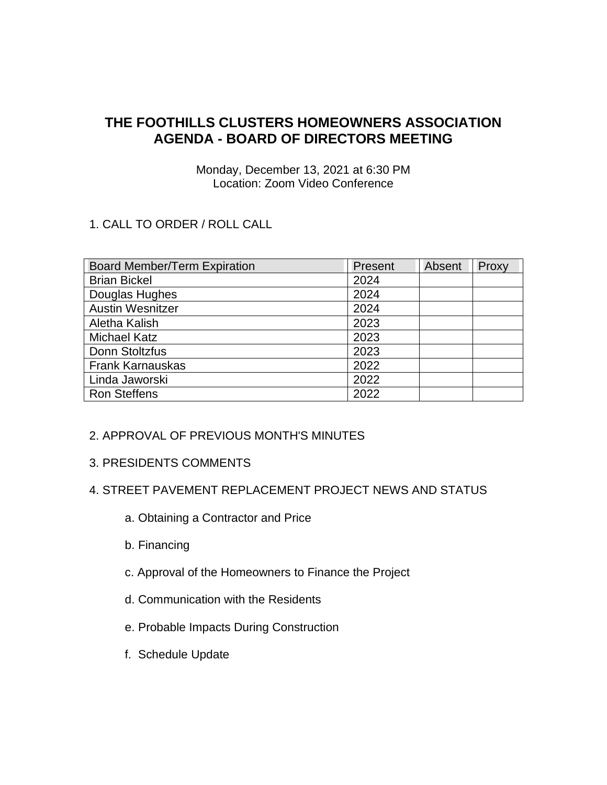# **THE FOOTHILLS CLUSTERS HOMEOWNERS ASSOCIATION AGENDA - BOARD OF DIRECTORS MEETING**

Monday, December 13, 2021 at 6:30 PM Location: Zoom Video Conference

## 1. CALL TO ORDER / ROLL CALL

| <b>Board Member/Term Expiration</b> | Present | Absent | Proxy |
|-------------------------------------|---------|--------|-------|
| <b>Brian Bickel</b>                 | 2024    |        |       |
| Douglas Hughes                      | 2024    |        |       |
| <b>Austin Wesnitzer</b>             | 2024    |        |       |
| Aletha Kalish                       | 2023    |        |       |
| <b>Michael Katz</b>                 | 2023    |        |       |
| Donn Stoltzfus                      | 2023    |        |       |
| <b>Frank Karnauskas</b>             | 2022    |        |       |
| Linda Jaworski                      | 2022    |        |       |
| <b>Ron Steffens</b>                 | 2022    |        |       |

#### 2. APPROVAL OF PREVIOUS MONTH'S MINUTES

3. PRESIDENTS COMMENTS

#### 4. STREET PAVEMENT REPLACEMENT PROJECT NEWS AND STATUS

- a. Obtaining a Contractor and Price
- b. Financing
- c. Approval of the Homeowners to Finance the Project
- d. Communication with the Residents
- e. Probable Impacts During Construction
- f. Schedule Update